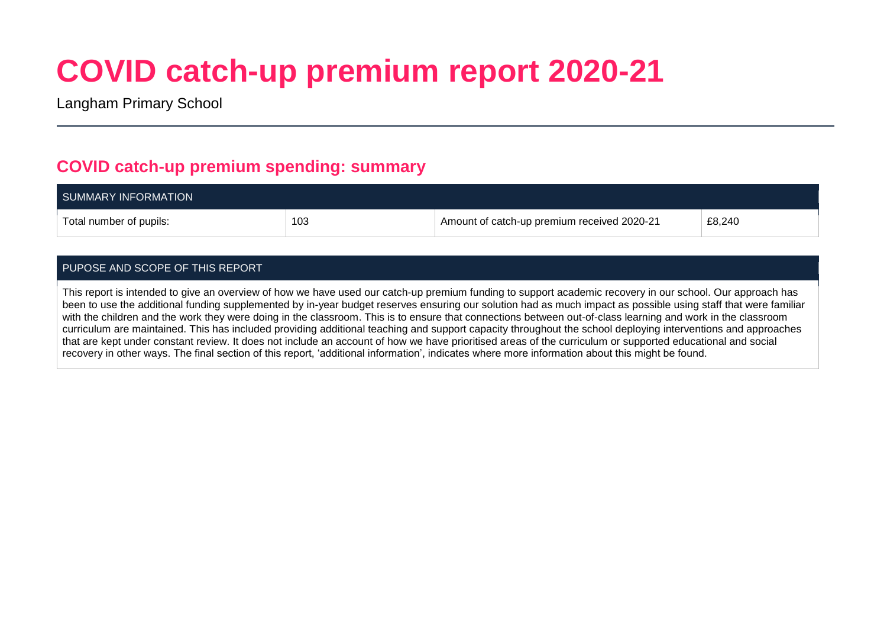# **COVID catch-up premium report 2020-21**

Langham Primary School

## **COVID catch-up premium spending: summary**

| SUMMARY INFORMATION     |     |                                             |        |
|-------------------------|-----|---------------------------------------------|--------|
| Total number of pupils: | 103 | Amount of catch-up premium received 2020-21 | £8,240 |

#### PUPOSE AND SCOPE OF THIS REPORT

This report is intended to give an overview of how we have used our catch-up premium funding to support academic recovery in our school. Our approach has been to use the additional funding supplemented by in-year budget reserves ensuring our solution had as much impact as possible using staff that were familiar with the children and the work they were doing in the classroom. This is to ensure that connections between out-of-class learning and work in the classroom curriculum are maintained. This has included providing additional teaching and support capacity throughout the school deploying interventions and approaches that are kept under constant review. It does not include an account of how we have prioritised areas of the curriculum or supported educational and social recovery in other ways. The final section of this report, 'additional information', indicates where more information about this might be found.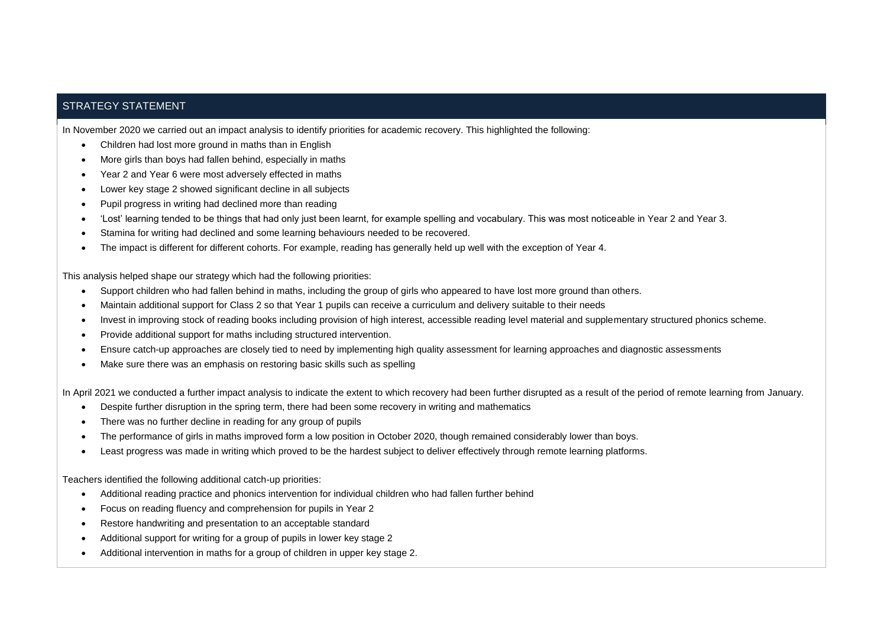#### STRATEGY STATEMENT

In November 2020 we carried out an impact analysis to identify priorities for academic recovery. This highlighted the following:

- Children had lost more ground in maths than in English
- More girls than boys had fallen behind, especially in maths
- Year 2 and Year 6 were most adversely effected in maths
- Lower key stage 2 showed significant decline in all subjects
- Pupil progress in writing had declined more than reading
- 'Lost' learning tended to be things that had only just been learnt, for example spelling and vocabulary. This was most noticeable in Year 2 and Year 3.
- Stamina for writing had declined and some learning behaviours needed to be recovered.
- The impact is different for different cohorts. For example, reading has generally held up well with the exception of Year 4.

This analysis helped shape our strategy which had the following priorities:

- Support children who had fallen behind in maths, including the group of girls who appeared to have lost more ground than others.
- Maintain additional support for Class 2 so that Year 1 pupils can receive a curriculum and delivery suitable to their needs
- Invest in improving stock of reading books including provision of high interest, accessible reading level material and supplementary structured phonics scheme.
- Provide additional support for maths including structured intervention.
- Ensure catch-up approaches are closely tied to need by implementing high quality assessment for learning approaches and diagnostic assessments
- Make sure there was an emphasis on restoring basic skills such as spelling

In April 2021 we conducted a further impact analysis to indicate the extent to which recovery had been further disrupted as a result of the period of remote learning from January.

- Despite further disruption in the spring term, there had been some recovery in writing and mathematics
- There was no further decline in reading for any group of pupils
- The performance of girls in maths improved form a low position in October 2020, though remained considerably lower than boys.
- Least progress was made in writing which proved to be the hardest subject to deliver effectively through remote learning platforms.

Teachers identified the following additional catch-up priorities:

- Additional reading practice and phonics intervention for individual children who had fallen further behind
- Focus on reading fluency and comprehension for pupils in Year 2
- Restore handwriting and presentation to an acceptable standard
- Additional support for writing for a group of pupils in lower key stage 2
- Additional intervention in maths for a group of children in upper key stage 2.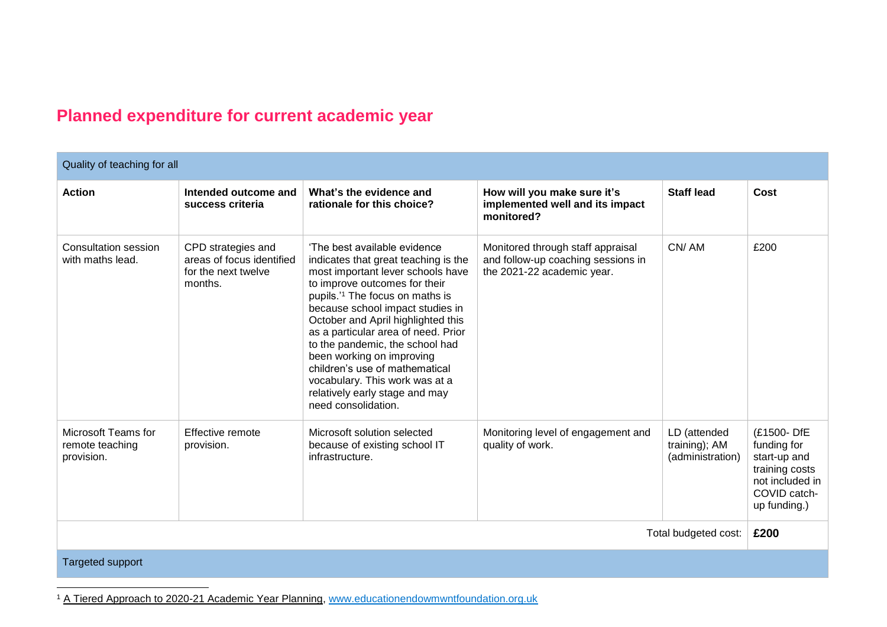## **Planned expenditure for current academic year**

| Quality of teaching for all                          |                                                                                   |                                                                                                                                                                                                                                                                                                                                                                                                                                                                                                         |                                                                                                       |                                                   |                                                                                                                |
|------------------------------------------------------|-----------------------------------------------------------------------------------|---------------------------------------------------------------------------------------------------------------------------------------------------------------------------------------------------------------------------------------------------------------------------------------------------------------------------------------------------------------------------------------------------------------------------------------------------------------------------------------------------------|-------------------------------------------------------------------------------------------------------|---------------------------------------------------|----------------------------------------------------------------------------------------------------------------|
| <b>Action</b>                                        | Intended outcome and<br>success criteria                                          | What's the evidence and<br>rationale for this choice?                                                                                                                                                                                                                                                                                                                                                                                                                                                   | How will you make sure it's<br>implemented well and its impact<br>monitored?                          | <b>Staff lead</b>                                 | Cost                                                                                                           |
| Consultation session<br>with maths lead.             | CPD strategies and<br>areas of focus identified<br>for the next twelve<br>months. | 'The best available evidence<br>indicates that great teaching is the<br>most important lever schools have<br>to improve outcomes for their<br>pupils. <sup>'1</sup> The focus on maths is<br>because school impact studies in<br>October and April highlighted this<br>as a particular area of need. Prior<br>to the pandemic, the school had<br>been working on improving<br>children's use of mathematical<br>vocabulary. This work was at a<br>relatively early stage and may<br>need consolidation. | Monitored through staff appraisal<br>and follow-up coaching sessions in<br>the 2021-22 academic year. | CN/AM                                             | £200                                                                                                           |
| Microsoft Teams for<br>remote teaching<br>provision. | Effective remote<br>provision.                                                    | Microsoft solution selected<br>because of existing school IT<br>infrastructure.                                                                                                                                                                                                                                                                                                                                                                                                                         | Monitoring level of engagement and<br>quality of work.                                                | LD (attended<br>training); AM<br>(administration) | (£1500-DfE<br>funding for<br>start-up and<br>training costs<br>not included in<br>COVID catch-<br>up funding.) |
| Total budgeted cost:                                 |                                                                                   |                                                                                                                                                                                                                                                                                                                                                                                                                                                                                                         |                                                                                                       | £200                                              |                                                                                                                |

Targeted support

l

<sup>1</sup> A Tiered Approach to 2020-21 Academic Year Planning, [www.educationendowmwntfoundation.org.uk](http://www.educationendowmwntfoundation.org.uk/)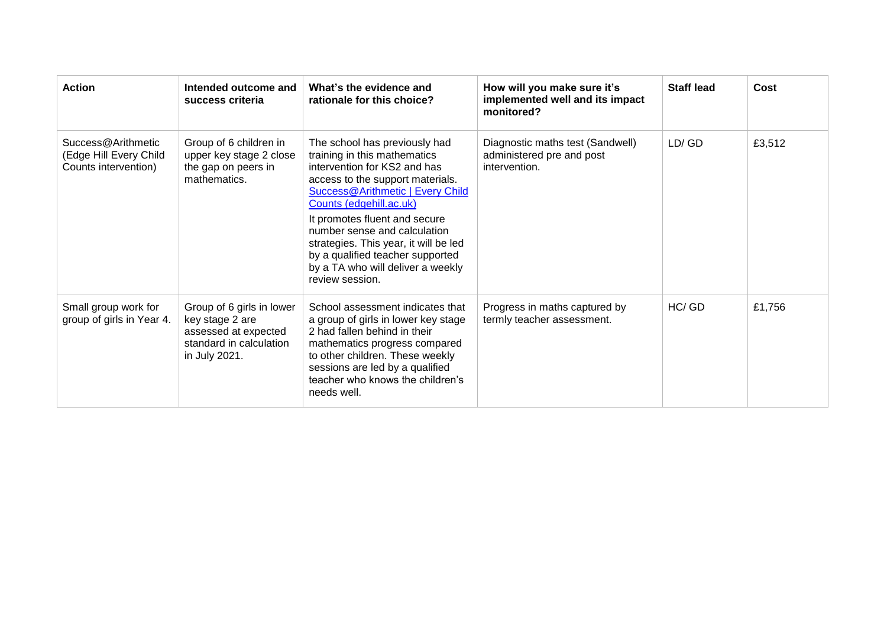| <b>Action</b>                                                        | Intended outcome and<br>success criteria                                                                         | What's the evidence and<br>rationale for this choice?                                                                                                                                                                                                                                                                                                                                                  | How will you make sure it's<br>implemented well and its impact<br>monitored?   | <b>Staff lead</b> | Cost   |
|----------------------------------------------------------------------|------------------------------------------------------------------------------------------------------------------|--------------------------------------------------------------------------------------------------------------------------------------------------------------------------------------------------------------------------------------------------------------------------------------------------------------------------------------------------------------------------------------------------------|--------------------------------------------------------------------------------|-------------------|--------|
| Success@Arithmetic<br>(Edge Hill Every Child<br>Counts intervention) | Group of 6 children in<br>upper key stage 2 close<br>the gap on peers in<br>mathematics.                         | The school has previously had<br>training in this mathematics<br>intervention for KS2 and has<br>access to the support materials.<br>Success@Arithmetic   Every Child<br>Counts (edgehill.ac.uk)<br>It promotes fluent and secure<br>number sense and calculation<br>strategies. This year, it will be led<br>by a qualified teacher supported<br>by a TA who will deliver a weekly<br>review session. | Diagnostic maths test (Sandwell)<br>administered pre and post<br>intervention. | LD/GD             | £3,512 |
| Small group work for<br>group of girls in Year 4.                    | Group of 6 girls in lower<br>key stage 2 are<br>assessed at expected<br>standard in calculation<br>in July 2021. | School assessment indicates that<br>a group of girls in lower key stage<br>2 had fallen behind in their<br>mathematics progress compared<br>to other children. These weekly<br>sessions are led by a qualified<br>teacher who knows the children's<br>needs well.                                                                                                                                      | Progress in maths captured by<br>termly teacher assessment.                    | HC/ GD            | £1,756 |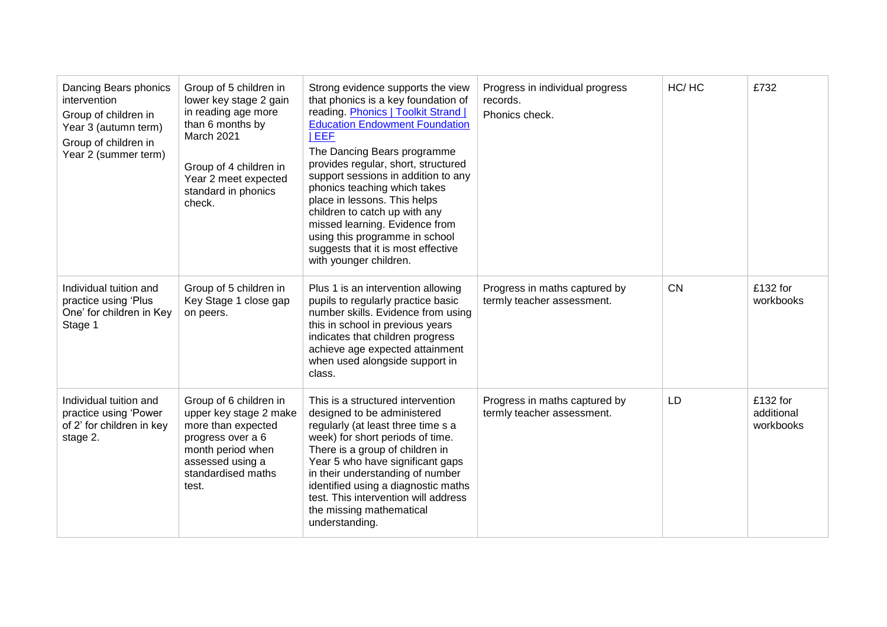| Dancing Bears phonics<br>intervention<br>Group of children in<br>Year 3 (autumn term)<br>Group of children in<br>Year 2 (summer term) | Group of 5 children in<br>lower key stage 2 gain<br>in reading age more<br>than 6 months by<br>March 2021<br>Group of 4 children in<br>Year 2 meet expected<br>standard in phonics<br>check. | Strong evidence supports the view<br>that phonics is a key foundation of<br>reading. Phonics   Toolkit Strand  <br><b>Education Endowment Foundation</b><br>EEF<br>The Dancing Bears programme<br>provides regular, short, structured<br>support sessions in addition to any<br>phonics teaching which takes<br>place in lessons. This helps<br>children to catch up with any<br>missed learning. Evidence from<br>using this programme in school<br>suggests that it is most effective<br>with younger children. | Progress in individual progress<br>records.<br>Phonics check. | HC/HC     | £732                                |
|---------------------------------------------------------------------------------------------------------------------------------------|----------------------------------------------------------------------------------------------------------------------------------------------------------------------------------------------|-------------------------------------------------------------------------------------------------------------------------------------------------------------------------------------------------------------------------------------------------------------------------------------------------------------------------------------------------------------------------------------------------------------------------------------------------------------------------------------------------------------------|---------------------------------------------------------------|-----------|-------------------------------------|
| Individual tuition and<br>practice using 'Plus<br>One' for children in Key<br>Stage 1                                                 | Group of 5 children in<br>Key Stage 1 close gap<br>on peers.                                                                                                                                 | Plus 1 is an intervention allowing<br>pupils to regularly practice basic<br>number skills. Evidence from using<br>this in school in previous years<br>indicates that children progress<br>achieve age expected attainment<br>when used alongside support in<br>class.                                                                                                                                                                                                                                             | Progress in maths captured by<br>termly teacher assessment.   | <b>CN</b> | $£132$ for<br>workbooks             |
| Individual tuition and<br>practice using 'Power<br>of 2' for children in key<br>stage 2.                                              | Group of 6 children in<br>upper key stage 2 make<br>more than expected<br>progress over a 6<br>month period when<br>assessed using a<br>standardised maths<br>test.                          | This is a structured intervention<br>designed to be administered<br>regularly (at least three time s a<br>week) for short periods of time.<br>There is a group of children in<br>Year 5 who have significant gaps<br>in their understanding of number<br>identified using a diagnostic maths<br>test. This intervention will address<br>the missing mathematical<br>understanding.                                                                                                                                | Progress in maths captured by<br>termly teacher assessment.   | LD        | £132 for<br>additional<br>workbooks |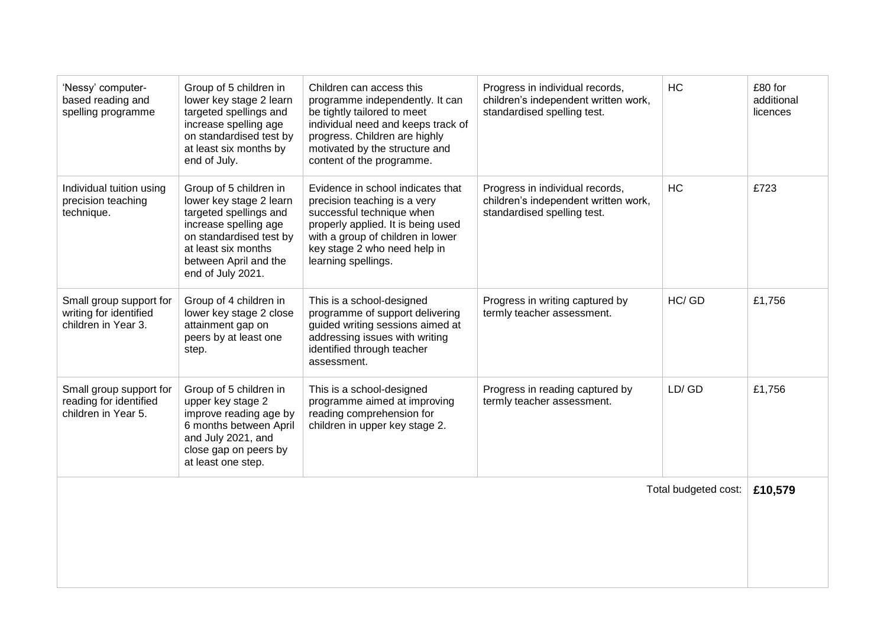| 'Nessy' computer-<br>based reading and<br>spelling programme             | Group of 5 children in<br>lower key stage 2 learn<br>targeted spellings and<br>increase spelling age<br>on standardised test by<br>at least six months by<br>end of July.                            | Children can access this<br>programme independently. It can<br>be tightly tailored to meet<br>individual need and keeps track of<br>progress. Children are highly<br>motivated by the structure and<br>content of the programme. | Progress in individual records,<br>children's independent written work,<br>standardised spelling test. | HC        | £80 for<br>additional<br>licences |
|--------------------------------------------------------------------------|------------------------------------------------------------------------------------------------------------------------------------------------------------------------------------------------------|----------------------------------------------------------------------------------------------------------------------------------------------------------------------------------------------------------------------------------|--------------------------------------------------------------------------------------------------------|-----------|-----------------------------------|
| Individual tuition using<br>precision teaching<br>technique.             | Group of 5 children in<br>lower key stage 2 learn<br>targeted spellings and<br>increase spelling age<br>on standardised test by<br>at least six months<br>between April and the<br>end of July 2021. | Evidence in school indicates that<br>precision teaching is a very<br>successful technique when<br>properly applied. It is being used<br>with a group of children in lower<br>key stage 2 who need help in<br>learning spellings. | Progress in individual records,<br>children's independent written work,<br>standardised spelling test. | <b>HC</b> | £723                              |
| Small group support for<br>writing for identified<br>children in Year 3. | Group of 4 children in<br>lower key stage 2 close<br>attainment gap on<br>peers by at least one<br>step.                                                                                             | This is a school-designed<br>programme of support delivering<br>guided writing sessions aimed at<br>addressing issues with writing<br>identified through teacher<br>assessment.                                                  | Progress in writing captured by<br>termly teacher assessment.                                          | HC/GD     | £1,756                            |
| Small group support for<br>reading for identified<br>children in Year 5. | Group of 5 children in<br>upper key stage 2<br>improve reading age by<br>6 months between April<br>and July 2021, and<br>close gap on peers by<br>at least one step.                                 | This is a school-designed<br>programme aimed at improving<br>reading comprehension for<br>children in upper key stage 2.                                                                                                         | Progress in reading captured by<br>termly teacher assessment.                                          | LD/GD     | £1,756                            |
| Total budgeted cost:                                                     |                                                                                                                                                                                                      |                                                                                                                                                                                                                                  |                                                                                                        | £10,579   |                                   |
|                                                                          |                                                                                                                                                                                                      |                                                                                                                                                                                                                                  |                                                                                                        |           |                                   |
|                                                                          |                                                                                                                                                                                                      |                                                                                                                                                                                                                                  |                                                                                                        |           |                                   |